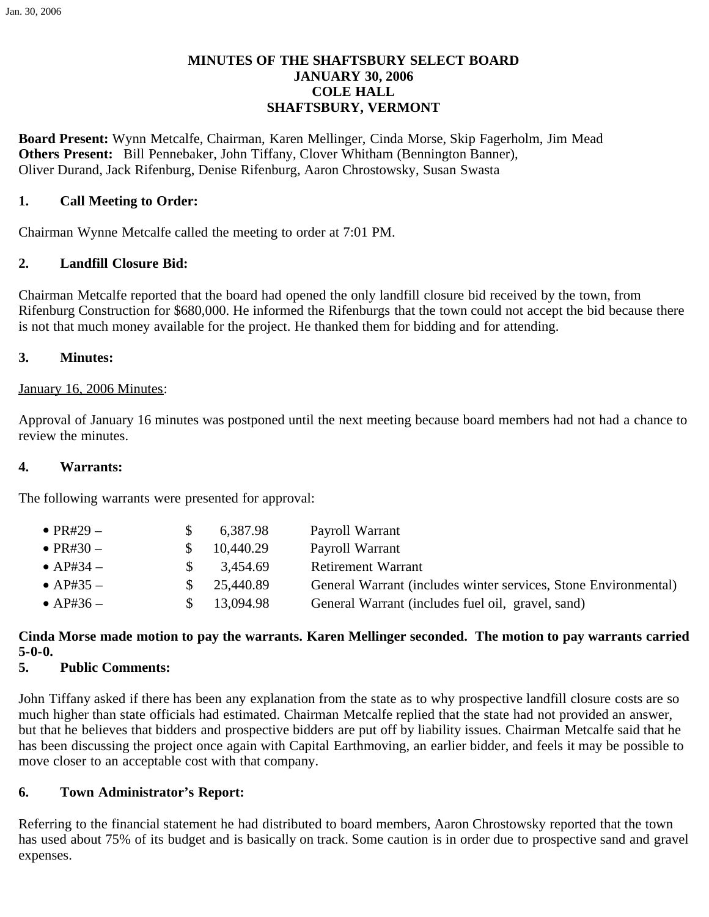## **MINUTES OF THE SHAFTSBURY SELECT BOARD JANUARY 30, 2006 COLE HALL SHAFTSBURY, VERMONT**

**Board Present:** Wynn Metcalfe, Chairman, Karen Mellinger, Cinda Morse, Skip Fagerholm, Jim Mead **Others Present:** Bill Pennebaker, John Tiffany, Clover Whitham (Bennington Banner), Oliver Durand, Jack Rifenburg, Denise Rifenburg, Aaron Chrostowsky, Susan Swasta

## **1. Call Meeting to Order:**

Chairman Wynne Metcalfe called the meeting to order at 7:01 PM.

# **2. Landfill Closure Bid:**

Chairman Metcalfe reported that the board had opened the only landfill closure bid received by the town, from Rifenburg Construction for \$680,000. He informed the Rifenburgs that the town could not accept the bid because there is not that much money available for the project. He thanked them for bidding and for attending.

#### **3. Minutes:**

#### January 16, 2006 Minutes:

Approval of January 16 minutes was postponed until the next meeting because board members had not had a chance to review the minutes.

### **4. Warrants:**

The following warrants were presented for approval:

| $\bullet$ PR#29 $-$ |     | 6,387.98  | Payroll Warrant                                                 |
|---------------------|-----|-----------|-----------------------------------------------------------------|
| $\bullet$ PR#30 $-$ |     | 10,440.29 | Payroll Warrant                                                 |
| $\bullet$ AP#34 –   | SS. | 3.454.69  | <b>Retirement Warrant</b>                                       |
| $\bullet$ AP#35 $-$ |     | 25,440.89 | General Warrant (includes winter services, Stone Environmental) |
| $\bullet$ AP#36 –   |     | 13,094.98 | General Warrant (includes fuel oil, gravel, sand)               |

# **Cinda Morse made motion to pay the warrants. Karen Mellinger seconded. The motion to pay warrants carried 5-0-0.**

## **5. Public Comments:**

John Tiffany asked if there has been any explanation from the state as to why prospective landfill closure costs are so much higher than state officials had estimated. Chairman Metcalfe replied that the state had not provided an answer, but that he believes that bidders and prospective bidders are put off by liability issues. Chairman Metcalfe said that he has been discussing the project once again with Capital Earthmoving, an earlier bidder, and feels it may be possible to move closer to an acceptable cost with that company.

## **6. Town Administrator's Report:**

Referring to the financial statement he had distributed to board members, Aaron Chrostowsky reported that the town has used about 75% of its budget and is basically on track. Some caution is in order due to prospective sand and gravel expenses.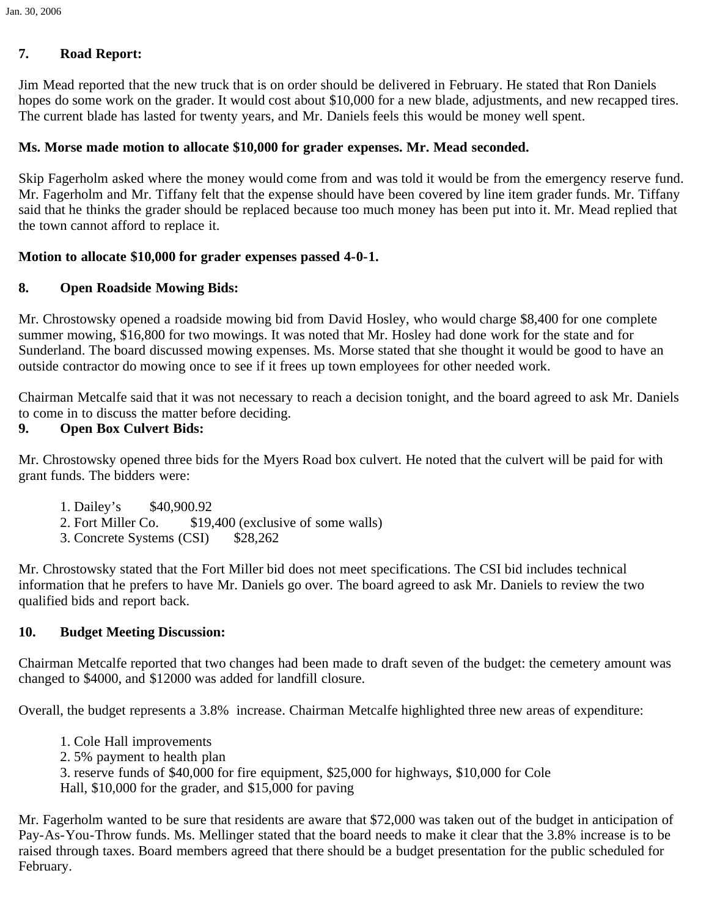# **7. Road Report:**

Jim Mead reported that the new truck that is on order should be delivered in February. He stated that Ron Daniels hopes do some work on the grader. It would cost about \$10,000 for a new blade, adjustments, and new recapped tires. The current blade has lasted for twenty years, and Mr. Daniels feels this would be money well spent.

### **Ms. Morse made motion to allocate \$10,000 for grader expenses. Mr. Mead seconded.**

Skip Fagerholm asked where the money would come from and was told it would be from the emergency reserve fund. Mr. Fagerholm and Mr. Tiffany felt that the expense should have been covered by line item grader funds. Mr. Tiffany said that he thinks the grader should be replaced because too much money has been put into it. Mr. Mead replied that the town cannot afford to replace it.

#### **Motion to allocate \$10,000 for grader expenses passed 4-0-1.**

#### **8. Open Roadside Mowing Bids:**

Mr. Chrostowsky opened a roadside mowing bid from David Hosley, who would charge \$8,400 for one complete summer mowing, \$16,800 for two mowings. It was noted that Mr. Hosley had done work for the state and for Sunderland. The board discussed mowing expenses. Ms. Morse stated that she thought it would be good to have an outside contractor do mowing once to see if it frees up town employees for other needed work.

Chairman Metcalfe said that it was not necessary to reach a decision tonight, and the board agreed to ask Mr. Daniels to come in to discuss the matter before deciding.

# **9. Open Box Culvert Bids:**

Mr. Chrostowsky opened three bids for the Myers Road box culvert. He noted that the culvert will be paid for with grant funds. The bidders were:

- 1. Dailey's \$40,900.92
- 2. Fort Miller Co. \$19,400 (exclusive of some walls)
- 3. Concrete Systems (CSI) \$28,262

Mr. Chrostowsky stated that the Fort Miller bid does not meet specifications. The CSI bid includes technical information that he prefers to have Mr. Daniels go over. The board agreed to ask Mr. Daniels to review the two qualified bids and report back.

## **10. Budget Meeting Discussion:**

Chairman Metcalfe reported that two changes had been made to draft seven of the budget: the cemetery amount was changed to \$4000, and \$12000 was added for landfill closure.

Overall, the budget represents a 3.8% increase. Chairman Metcalfe highlighted three new areas of expenditure:

- 1. Cole Hall improvements
- 2. 5% payment to health plan
- 3. reserve funds of \$40,000 for fire equipment, \$25,000 for highways, \$10,000 for Cole
- Hall, \$10,000 for the grader, and \$15,000 for paving

Mr. Fagerholm wanted to be sure that residents are aware that \$72,000 was taken out of the budget in anticipation of Pay-As-You-Throw funds. Ms. Mellinger stated that the board needs to make it clear that the 3.8% increase is to be raised through taxes. Board members agreed that there should be a budget presentation for the public scheduled for February.